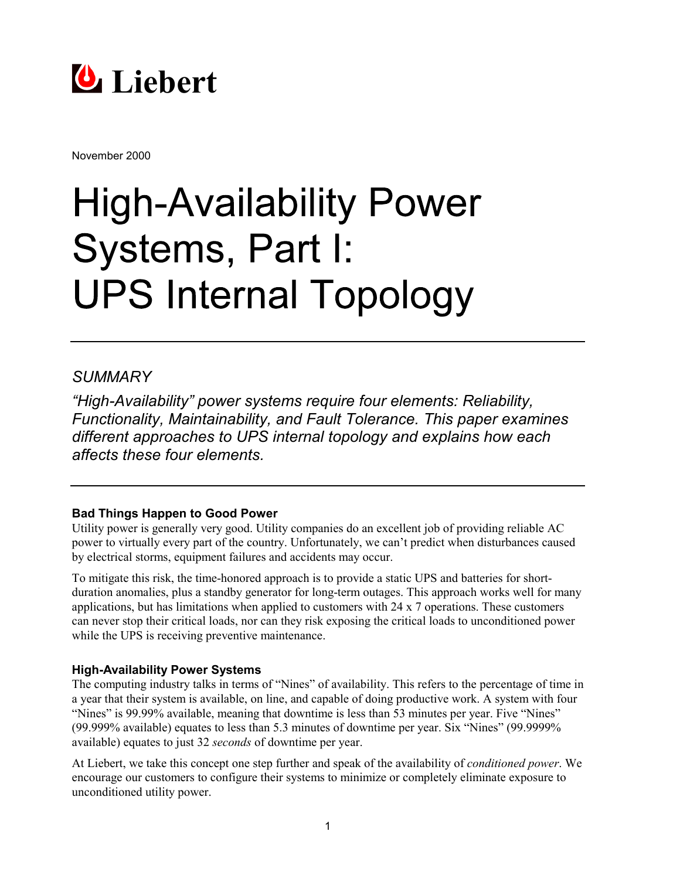

November 2000

# **High-Availability Power** Systems, Part I: **UPS Internal Topology**

# *SUMMARY*

*"High-Availability" power systems require four elements: Reliability, Functionality, Maintainability, and Fault Tolerance. This paper examines different approaches to UPS internal topology and explains how each affects these four elements.*

## **Bad Things Happen to Good Power**

Utility power is generally very good. Utility companies do an excellent job of providing reliable AC power to virtually every part of the country. Unfortunately, we can't predict when disturbances caused by electrical storms, equipment failures and accidents may occur.

To mitigate this risk, the time-honored approach is to provide a static UPS and batteries for shortduration anomalies, plus a standby generator for long-term outages. This approach works well for many applications, but has limitations when applied to customers with 24 x 7 operations. These customers can never stop their critical loads, nor can they risk exposing the critical loads to unconditioned power while the UPS is receiving preventive maintenance.

#### **High-Availability Power Systems**

The computing industry talks in terms of "Nines" of availability. This refers to the percentage of time in a year that their system is available, on line, and capable of doing productive work. A system with four "Nines" is 99.99% available, meaning that downtime is less than 53 minutes per year. Five "Nines" (99.999% available) equates to less than 5.3 minutes of downtime per year. Six "Nines" (99.9999% available) equates to just 32 *seconds* of downtime per year.

At Liebert, we take this concept one step further and speak of the availability of *conditioned power*. We encourage our customers to configure their systems to minimize or completely eliminate exposure to unconditioned utility power.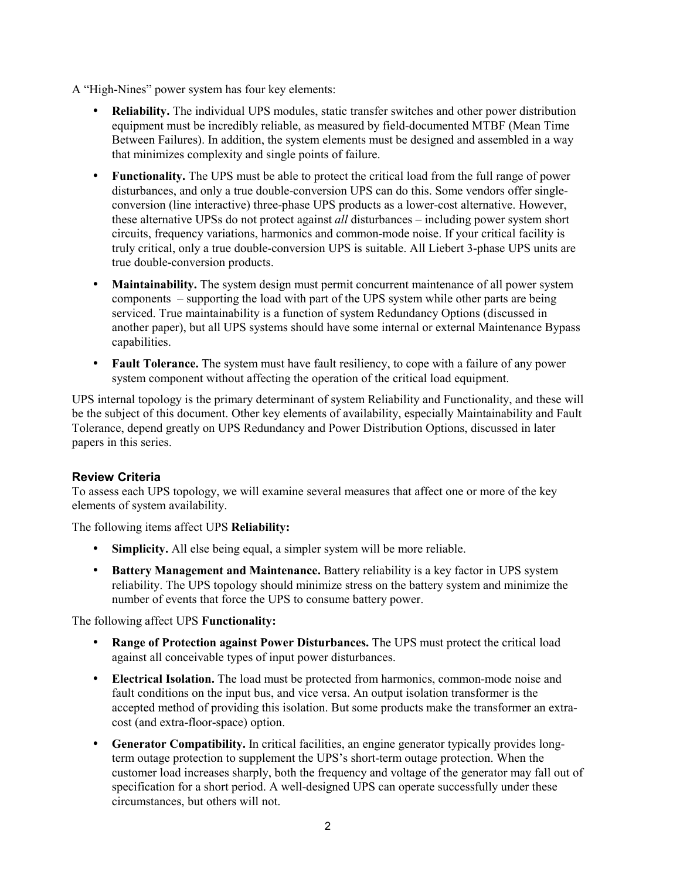- A "High-Nines" power system has four key elements:
	- **Reliability.** The individual UPS modules, static transfer switches and other power distribution equipment must be incredibly reliable, as measured by field-documented MTBF (Mean Time Between Failures). In addition, the system elements must be designed and assembled in a way that minimizes complexity and single points of failure.
	- **Functionality.** The UPS must be able to protect the critical load from the full range of power disturbances, and only a true double-conversion UPS can do this. Some vendors offer singleconversion (line interactive) three-phase UPS products as a lower-cost alternative. However, these alternative UPSs do not protect against *all* disturbances – including power system short circuits, frequency variations, harmonics and common-mode noise. If your critical facility is truly critical, only a true double-conversion UPS is suitable. All Liebert 3-phase UPS units are true double-conversion products.
	- **Maintainability.** The system design must permit concurrent maintenance of all power system components – supporting the load with part of the UPS system while other parts are being serviced. True maintainability is a function of system Redundancy Options (discussed in another paper), but all UPS systems should have some internal or external Maintenance Bypass capabilities.
	- **Fault Tolerance.** The system must have fault resiliency, to cope with a failure of any power system component without affecting the operation of the critical load equipment.

UPS internal topology is the primary determinant of system Reliability and Functionality, and these will be the subject of this document. Other key elements of availability, especially Maintainability and Fault Tolerance, depend greatly on UPS Redundancy and Power Distribution Options, discussed in later papers in this series.

#### **Review Criteria**

To assess each UPS topology, we will examine several measures that affect one or more of the key elements of system availability.

The following items affect UPS **Reliability:**

- **Simplicity.** All else being equal, a simpler system will be more reliable.
- **Battery Management and Maintenance.** Battery reliability is a key factor in UPS system reliability. The UPS topology should minimize stress on the battery system and minimize the number of events that force the UPS to consume battery power.

The following affect UPS **Functionality:**

- **Range of Protection against Power Disturbances.** The UPS must protect the critical load against all conceivable types of input power disturbances.
- **Electrical Isolation.** The load must be protected from harmonics, common-mode noise and fault conditions on the input bus, and vice versa. An output isolation transformer is the accepted method of providing this isolation. But some products make the transformer an extracost (and extra-floor-space) option.
- **Generator Compatibility.** In critical facilities, an engine generator typically provides longterm outage protection to supplement the UPS's short-term outage protection. When the customer load increases sharply, both the frequency and voltage of the generator may fall out of specification for a short period. A well-designed UPS can operate successfully under these circumstances, but others will not.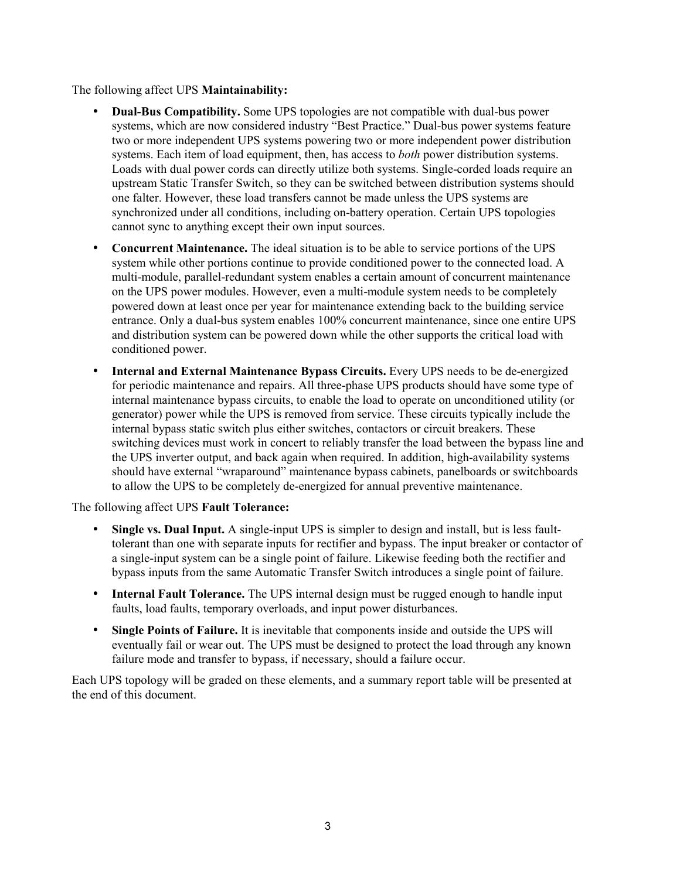The following affect UPS **Maintainability:**

- **Dual-Bus Compatibility.** Some UPS topologies are not compatible with dual-bus power systems, which are now considered industry "Best Practice." Dual-bus power systems feature two or more independent UPS systems powering two or more independent power distribution systems. Each item of load equipment, then, has access to *both* power distribution systems. Loads with dual power cords can directly utilize both systems. Single-corded loads require an upstream Static Transfer Switch, so they can be switched between distribution systems should one falter. However, these load transfers cannot be made unless the UPS systems are synchronized under all conditions, including on-battery operation. Certain UPS topologies cannot sync to anything except their own input sources.
- **Concurrent Maintenance.** The ideal situation is to be able to service portions of the UPS system while other portions continue to provide conditioned power to the connected load. A multi-module, parallel-redundant system enables a certain amount of concurrent maintenance on the UPS power modules. However, even a multi-module system needs to be completely powered down at least once per year for maintenance extending back to the building service entrance. Only a dual-bus system enables 100% concurrent maintenance, since one entire UPS and distribution system can be powered down while the other supports the critical load with conditioned power.
- **Internal and External Maintenance Bypass Circuits.** Every UPS needs to be de-energized for periodic maintenance and repairs. All three-phase UPS products should have some type of internal maintenance bypass circuits, to enable the load to operate on unconditioned utility (or generator) power while the UPS is removed from service. These circuits typically include the internal bypass static switch plus either switches, contactors or circuit breakers. These switching devices must work in concert to reliably transfer the load between the bypass line and the UPS inverter output, and back again when required. In addition, high-availability systems should have external "wraparound" maintenance bypass cabinets, panelboards or switchboards to allow the UPS to be completely de-energized for annual preventive maintenance.

The following affect UPS **Fault Tolerance:**

- **Single vs. Dual Input.** A single-input UPS is simpler to design and install, but is less faulttolerant than one with separate inputs for rectifier and bypass. The input breaker or contactor of a single-input system can be a single point of failure. Likewise feeding both the rectifier and bypass inputs from the same Automatic Transfer Switch introduces a single point of failure.
- **Internal Fault Tolerance.** The UPS internal design must be rugged enough to handle input faults, load faults, temporary overloads, and input power disturbances.
- **Single Points of Failure.** It is inevitable that components inside and outside the UPS will eventually fail or wear out. The UPS must be designed to protect the load through any known failure mode and transfer to bypass, if necessary, should a failure occur.

Each UPS topology will be graded on these elements, and a summary report table will be presented at the end of this document.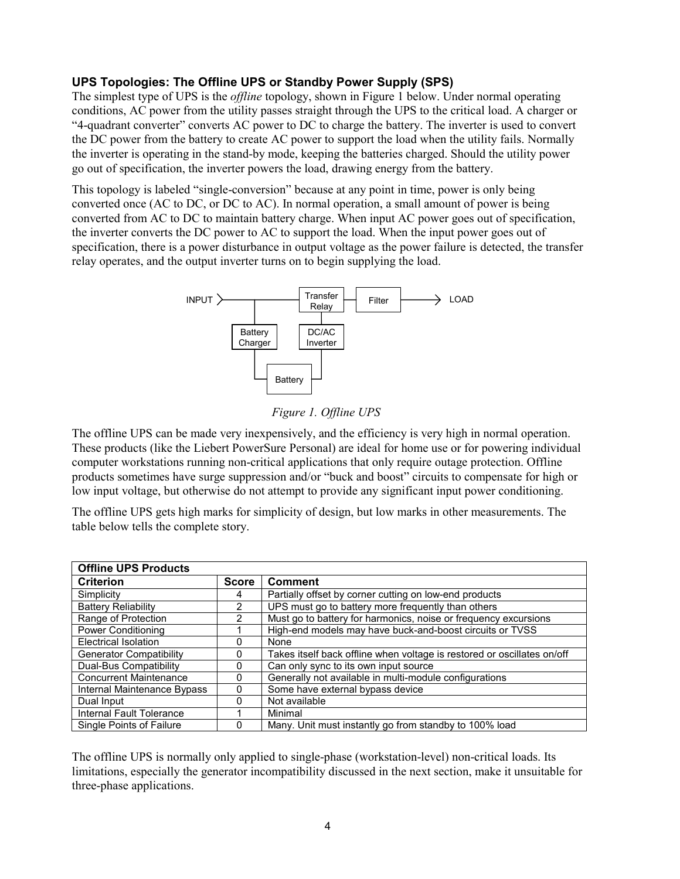#### **UPS Topologies: The Offline UPS or Standby Power Supply (SPS)**

The simplest type of UPS is the *offline* topology, shown in Figure 1 below. Under normal operating conditions, AC power from the utility passes straight through the UPS to the critical load. A charger or "4-quadrant converter" converts AC power to DC to charge the battery. The inverter is used to convert the DC power from the battery to create AC power to support the load when the utility fails. Normally the inverter is operating in the stand-by mode, keeping the batteries charged. Should the utility power go out of specification, the inverter powers the load, drawing energy from the battery.

This topology is labeled "single-conversion" because at any point in time, power is only being converted once (AC to DC, or DC to AC). In normal operation, a small amount of power is being converted from AC to DC to maintain battery charge. When input AC power goes out of specification, the inverter converts the DC power to AC to support the load. When the input power goes out of specification, there is a power disturbance in output voltage as the power failure is detected, the transfer relay operates, and the output inverter turns on to begin supplying the load.



*Figure 1. Offline UPS* 

The offline UPS can be made very inexpensively, and the efficiency is very high in normal operation. These products (like the Liebert PowerSure Personal) are ideal for home use or for powering individual computer workstations running non-critical applications that only require outage protection. Offline products sometimes have surge suppression and/or "buck and boost" circuits to compensate for high or low input voltage, but otherwise do not attempt to provide any significant input power conditioning.

The offline UPS gets high marks for simplicity of design, but low marks in other measurements. The table below tells the complete story.

| <b>Offline UPS Products</b>    |              |                                                                         |  |  |  |  |
|--------------------------------|--------------|-------------------------------------------------------------------------|--|--|--|--|
| <b>Criterion</b>               | <b>Score</b> | <b>Comment</b>                                                          |  |  |  |  |
| Simplicity                     | 4            | Partially offset by corner cutting on low-end products                  |  |  |  |  |
| <b>Battery Reliability</b>     | 2            | UPS must go to battery more frequently than others                      |  |  |  |  |
| Range of Protection            | 2            | Must go to battery for harmonics, noise or frequency excursions         |  |  |  |  |
| <b>Power Conditioning</b>      |              | High-end models may have buck-and-boost circuits or TVSS                |  |  |  |  |
| <b>Electrical Isolation</b>    | 0            | None                                                                    |  |  |  |  |
| <b>Generator Compatibility</b> | 0            | Takes itself back offline when voltage is restored or oscillates on/off |  |  |  |  |
| Dual-Bus Compatibility         | $\Omega$     | Can only sync to its own input source                                   |  |  |  |  |
| <b>Concurrent Maintenance</b>  | 0            | Generally not available in multi-module configurations                  |  |  |  |  |
| Internal Maintenance Bypass    | $\Omega$     | Some have external bypass device                                        |  |  |  |  |
| Dual Input                     | 0            | Not available                                                           |  |  |  |  |
| Internal Fault Tolerance       |              | Minimal                                                                 |  |  |  |  |
| Single Points of Failure       | 0            | Many. Unit must instantly go from standby to 100% load                  |  |  |  |  |

The offline UPS is normally only applied to single-phase (workstation-level) non-critical loads. Its limitations, especially the generator incompatibility discussed in the next section, make it unsuitable for three-phase applications.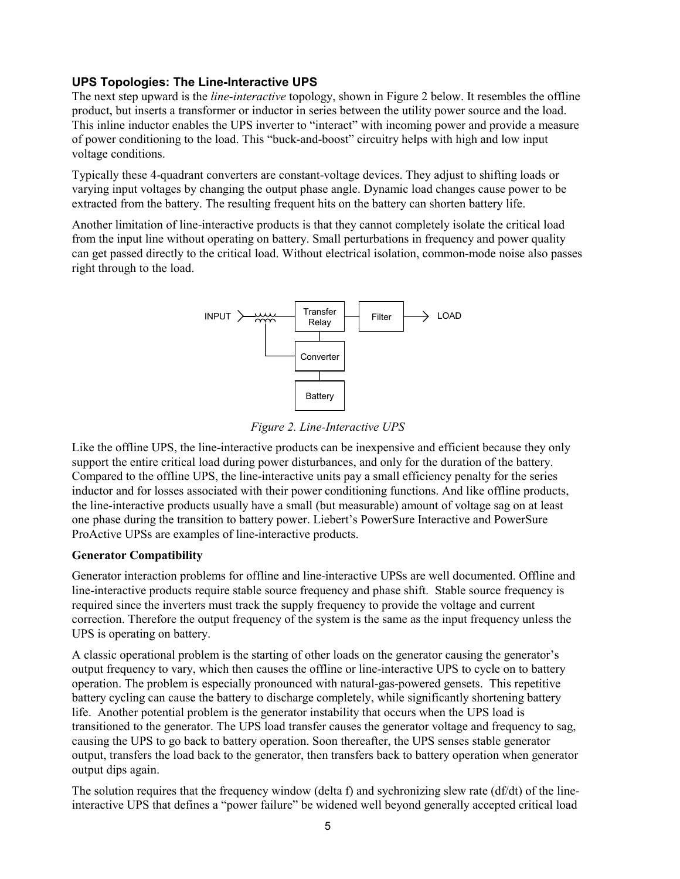#### **UPS Topologies: The Line-Interactive UPS**

The next step upward is the *line-interactive* topology, shown in Figure 2 below. It resembles the offline product, but inserts a transformer or inductor in series between the utility power source and the load. This inline inductor enables the UPS inverter to "interact" with incoming power and provide a measure of power conditioning to the load. This "buck-and-boost" circuitry helps with high and low input voltage conditions.

Typically these 4-quadrant converters are constant-voltage devices. They adjust to shifting loads or varying input voltages by changing the output phase angle. Dynamic load changes cause power to be extracted from the battery. The resulting frequent hits on the battery can shorten battery life.

Another limitation of line-interactive products is that they cannot completely isolate the critical load from the input line without operating on battery. Small perturbations in frequency and power quality can get passed directly to the critical load. Without electrical isolation, common-mode noise also passes right through to the load.



*Figure 2. Line-Interactive UPS*

Like the offline UPS, the line-interactive products can be inexpensive and efficient because they only support the entire critical load during power disturbances, and only for the duration of the battery. Compared to the offline UPS, the line-interactive units pay a small efficiency penalty for the series inductor and for losses associated with their power conditioning functions. And like offline products, the line-interactive products usually have a small (but measurable) amount of voltage sag on at least one phase during the transition to battery power. Liebert's PowerSure Interactive and PowerSure ProActive UPSs are examples of line-interactive products.

#### **Generator Compatibility**

Generator interaction problems for offline and line-interactive UPSs are well documented. Offline and line-interactive products require stable source frequency and phase shift. Stable source frequency is required since the inverters must track the supply frequency to provide the voltage and current correction. Therefore the output frequency of the system is the same as the input frequency unless the UPS is operating on battery.

A classic operational problem is the starting of other loads on the generator causing the generator's output frequency to vary, which then causes the offline or line-interactive UPS to cycle on to battery operation. The problem is especially pronounced with natural-gas-powered gensets. This repetitive battery cycling can cause the battery to discharge completely, while significantly shortening battery life. Another potential problem is the generator instability that occurs when the UPS load is transitioned to the generator. The UPS load transfer causes the generator voltage and frequency to sag, causing the UPS to go back to battery operation. Soon thereafter, the UPS senses stable generator output, transfers the load back to the generator, then transfers back to battery operation when generator output dips again.

The solution requires that the frequency window (delta f) and sychronizing slew rate ( $df/dt$ ) of the lineinteractive UPS that defines a "power failure" be widened well beyond generally accepted critical load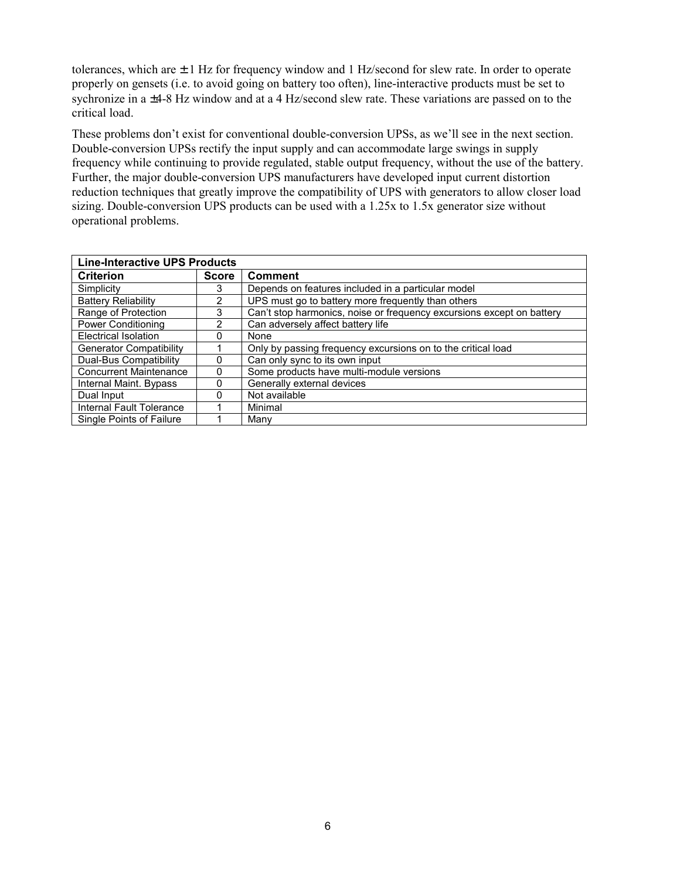tolerances, which are  $\pm 1$  Hz for frequency window and 1 Hz/second for slew rate. In order to operate properly on gensets (i.e. to avoid going on battery too often), line-interactive products must be set to sychronize in a ±4-8 Hz window and at a 4 Hz/second slew rate. These variations are passed on to the critical load.

These problems don't exist for conventional double-conversion UPSs, as we'll see in the next section. Double-conversion UPSs rectify the input supply and can accommodate large swings in supply frequency while continuing to provide regulated, stable output frequency, without the use of the battery. Further, the major double-conversion UPS manufacturers have developed input current distortion reduction techniques that greatly improve the compatibility of UPS with generators to allow closer load sizing. Double-conversion UPS products can be used with a 1.25x to 1.5x generator size without operational problems.

| <b>Line-Interactive UPS Products</b> |              |                                                                       |  |  |
|--------------------------------------|--------------|-----------------------------------------------------------------------|--|--|
| <b>Criterion</b>                     | <b>Score</b> | <b>Comment</b>                                                        |  |  |
| Simplicity                           | 3            | Depends on features included in a particular model                    |  |  |
| <b>Battery Reliability</b>           | 2            | UPS must go to battery more frequently than others                    |  |  |
| Range of Protection                  | 3            | Can't stop harmonics, noise or frequency excursions except on battery |  |  |
| <b>Power Conditioning</b>            | 2            | Can adversely affect battery life                                     |  |  |
| <b>Electrical Isolation</b>          | o            | None                                                                  |  |  |
| Generator Compatibility              |              | Only by passing frequency excursions on to the critical load          |  |  |
| <b>Dual-Bus Compatibility</b>        | O            | Can only sync to its own input                                        |  |  |
| <b>Concurrent Maintenance</b>        | 0            | Some products have multi-module versions                              |  |  |
| Internal Maint. Bypass               | 0            | Generally external devices                                            |  |  |
| Dual Input                           | ი            | Not available                                                         |  |  |
| Internal Fault Tolerance             |              | Minimal                                                               |  |  |
| Single Points of Failure             |              | Many                                                                  |  |  |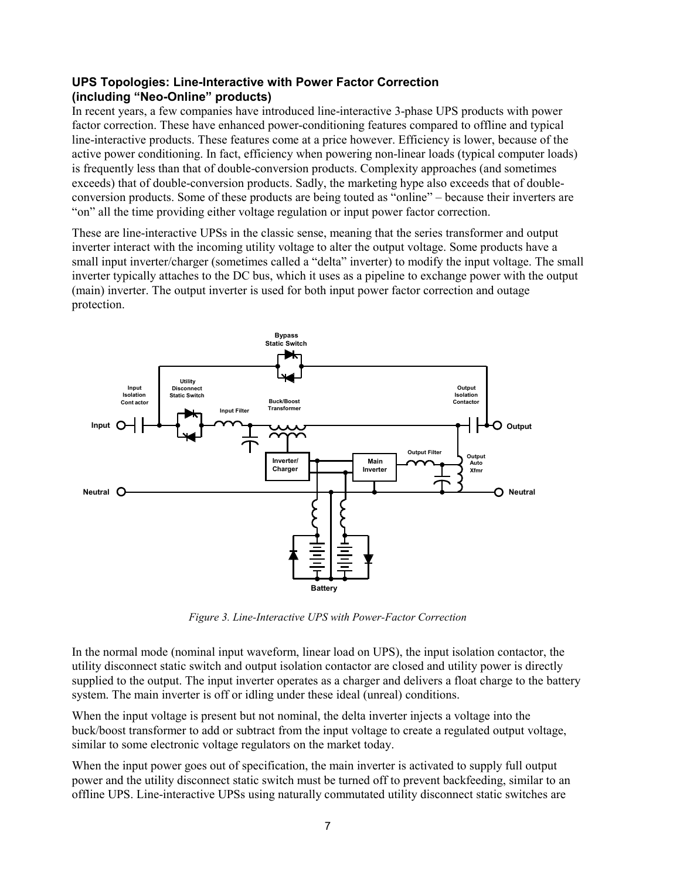#### **UPS Topologies: Line-Interactive with Power Factor Correction (including "Neo-Online" products)**

In recent years, a few companies have introduced line-interactive 3-phase UPS products with power factor correction. These have enhanced power-conditioning features compared to offline and typical line-interactive products. These features come at a price however. Efficiency is lower, because of the active power conditioning. In fact, efficiency when powering non-linear loads (typical computer loads) is frequently less than that of double-conversion products. Complexity approaches (and sometimes exceeds) that of double-conversion products. Sadly, the marketing hype also exceeds that of doubleconversion products. Some of these products are being touted as "online" – because their inverters are "on" all the time providing either voltage regulation or input power factor correction.

These are line-interactive UPSs in the classic sense, meaning that the series transformer and output inverter interact with the incoming utility voltage to alter the output voltage. Some products have a small input inverter/charger (sometimes called a "delta" inverter) to modify the input voltage. The small inverter typically attaches to the DC bus, which it uses as a pipeline to exchange power with the output (main) inverter. The output inverter is used for both input power factor correction and outage protection.



*Figure 3. Line-Interactive UPS with Power-Factor Correction*

In the normal mode (nominal input waveform, linear load on UPS), the input isolation contactor, the utility disconnect static switch and output isolation contactor are closed and utility power is directly supplied to the output. The input inverter operates as a charger and delivers a float charge to the battery system. The main inverter is off or idling under these ideal (unreal) conditions.

When the input voltage is present but not nominal, the delta inverter injects a voltage into the buck/boost transformer to add or subtract from the input voltage to create a regulated output voltage, similar to some electronic voltage regulators on the market today.

When the input power goes out of specification, the main inverter is activated to supply full output power and the utility disconnect static switch must be turned off to prevent backfeeding, similar to an offline UPS. Line-interactive UPSs using naturally commutated utility disconnect static switches are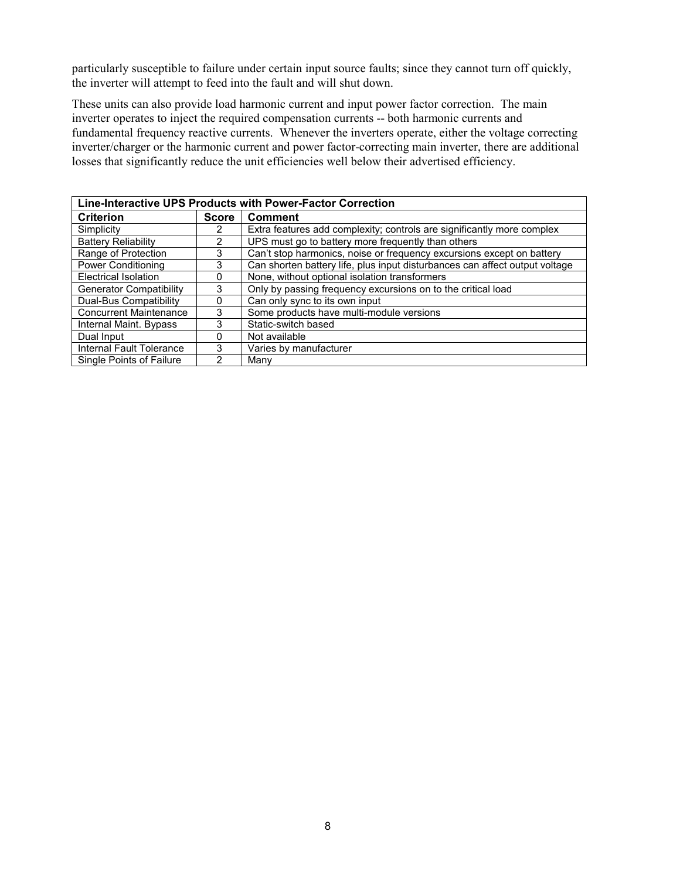particularly susceptible to failure under certain input source faults; since they cannot turn off quickly, the inverter will attempt to feed into the fault and will shut down.

These units can also provide load harmonic current and input power factor correction. The main inverter operates to inject the required compensation currents -- both harmonic currents and fundamental frequency reactive currents. Whenever the inverters operate, either the voltage correcting inverter/charger or the harmonic current and power factor-correcting main inverter, there are additional losses that significantly reduce the unit efficiencies well below their advertised efficiency.

| Line-Interactive UPS Products with Power-Factor Correction |              |                                                                             |  |  |  |
|------------------------------------------------------------|--------------|-----------------------------------------------------------------------------|--|--|--|
| <b>Criterion</b>                                           | <b>Score</b> | <b>Comment</b>                                                              |  |  |  |
| Simplicity                                                 |              | Extra features add complexity; controls are significantly more complex      |  |  |  |
| <b>Battery Reliability</b>                                 | 2            | UPS must go to battery more frequently than others                          |  |  |  |
| Range of Protection                                        | 3            | Can't stop harmonics, noise or frequency excursions except on battery       |  |  |  |
| <b>Power Conditioning</b>                                  | 3            | Can shorten battery life, plus input disturbances can affect output voltage |  |  |  |
| Electrical Isolation                                       | 0            | None, without optional isolation transformers                               |  |  |  |
| <b>Generator Compatibility</b>                             | 3            | Only by passing frequency excursions on to the critical load                |  |  |  |
| Dual-Bus Compatibility                                     | 0            | Can only sync to its own input                                              |  |  |  |
| <b>Concurrent Maintenance</b>                              | 3            | Some products have multi-module versions                                    |  |  |  |
| Internal Maint. Bypass                                     | 3            | Static-switch based                                                         |  |  |  |
| Dual Input                                                 |              | Not available                                                               |  |  |  |
| Internal Fault Tolerance                                   | 3            | Varies by manufacturer                                                      |  |  |  |
| Single Points of Failure                                   | 2            | Manv                                                                        |  |  |  |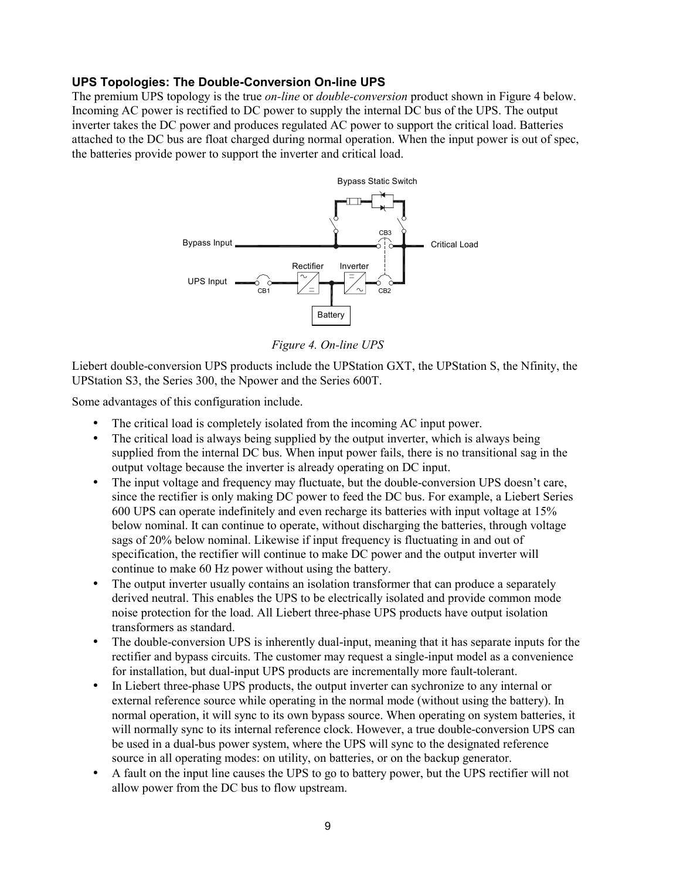#### **UPS Topologies: The Double-Conversion On-line UPS**

The premium UPS topology is the true *on-line* or *double-conversion* product shown in Figure 4 below. Incoming AC power is rectified to DC power to supply the internal DC bus of the UPS. The output inverter takes the DC power and produces regulated AC power to support the critical load. Batteries attached to the DC bus are float charged during normal operation. When the input power is out of spec, the batteries provide power to support the inverter and critical load.



*Figure 4. On-line UPS*

Liebert double-conversion UPS products include the UPStation GXT, the UPStation S, the Nfinity, the UPStation S3, the Series 300, the Npower and the Series 600T.

Some advantages of this configuration include.

- The critical load is completely isolated from the incoming AC input power.
- The critical load is always being supplied by the output inverter, which is always being supplied from the internal DC bus. When input power fails, there is no transitional sag in the output voltage because the inverter is already operating on DC input.
- The input voltage and frequency may fluctuate, but the double-conversion UPS doesn't care, since the rectifier is only making DC power to feed the DC bus. For example, a Liebert Series 600 UPS can operate indefinitely and even recharge its batteries with input voltage at 15% below nominal. It can continue to operate, without discharging the batteries, through voltage sags of 20% below nominal. Likewise if input frequency is fluctuating in and out of specification, the rectifier will continue to make DC power and the output inverter will continue to make 60 Hz power without using the battery.
- The output inverter usually contains an isolation transformer that can produce a separately derived neutral. This enables the UPS to be electrically isolated and provide common mode noise protection for the load. All Liebert three-phase UPS products have output isolation transformers as standard.
- The double-conversion UPS is inherently dual-input, meaning that it has separate inputs for the rectifier and bypass circuits. The customer may request a single-input model as a convenience for installation, but dual-input UPS products are incrementally more fault-tolerant.
- In Liebert three-phase UPS products, the output inverter can sychronize to any internal or external reference source while operating in the normal mode (without using the battery). In normal operation, it will sync to its own bypass source. When operating on system batteries, it will normally sync to its internal reference clock. However, a true double-conversion UPS can be used in a dual-bus power system, where the UPS will sync to the designated reference source in all operating modes: on utility, on batteries, or on the backup generator.
- A fault on the input line causes the UPS to go to battery power, but the UPS rectifier will not allow power from the DC bus to flow upstream.